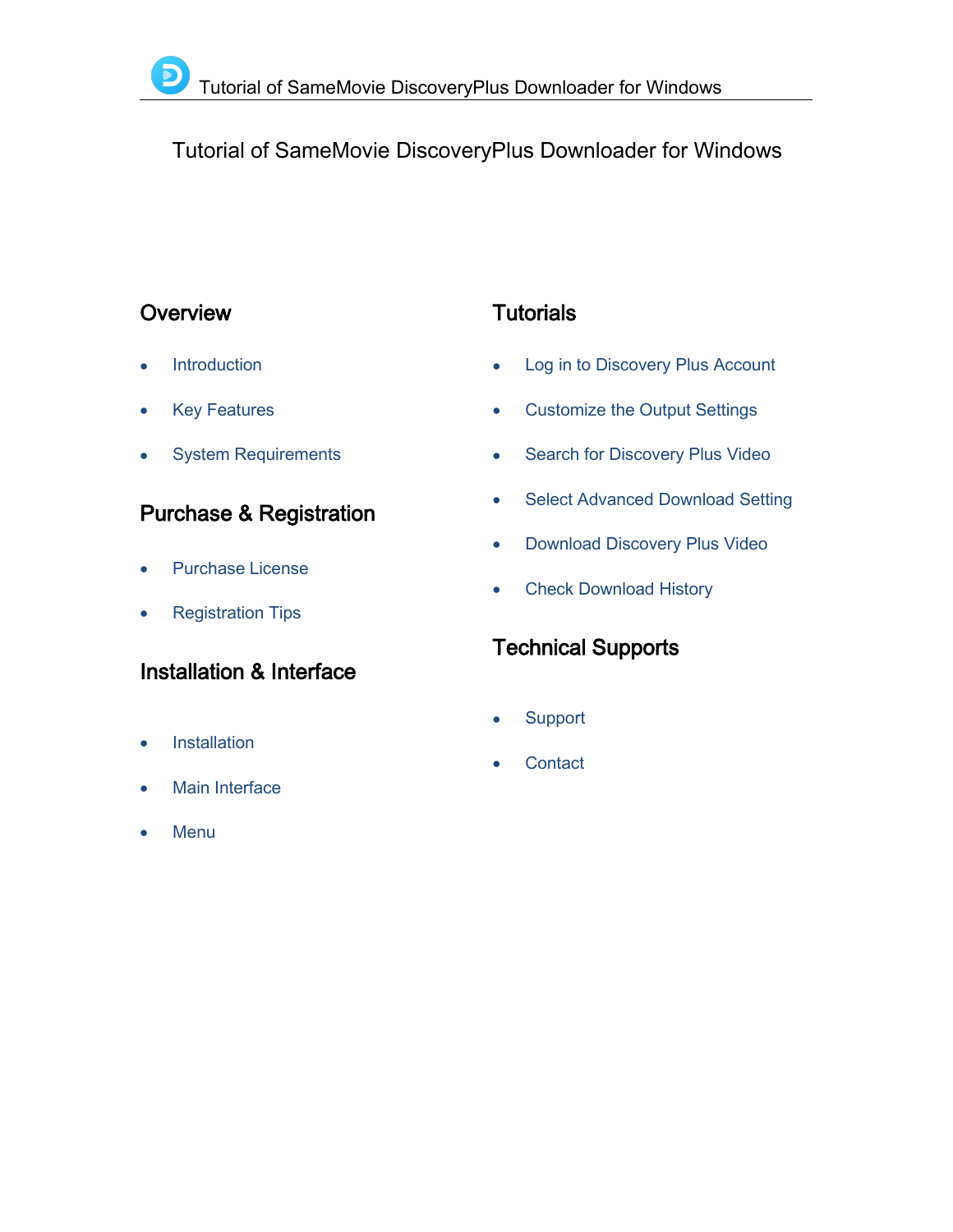# Tutorial of SameMovie DiscoveryPlus Downloader for Windows

### **Overview**

- **[Introduction](#page-1-0)**
- Key [Features](#page-1-1)
- System [Requirements](#page-1-2) **of the System Requirements**

# Purchase & Registration

- [Purchase](#page-2-0) License
- [Registration](#page-2-1) Tips

## Installation & Interface

- [Installation](#page-4-0)
- Main [Interface](#page-4-1)
- [Menu](#page-5-0)

# **Tutorials**

- Log in to [Discovery](#page-6-0) Plus Account
- [Customize](#page-7-0) the Output Settings
- Search for [Discovery](#page-7-1) Plus Video
- Select [Advanced](#page-8-0) Download Setting
- [Download](#page-8-1) Discovery Plus Video
- Check [Download](#page-9-0) History

# Technical Supports

- **[Support](#page-10-0)**
- **[Contact](#page-10-1)**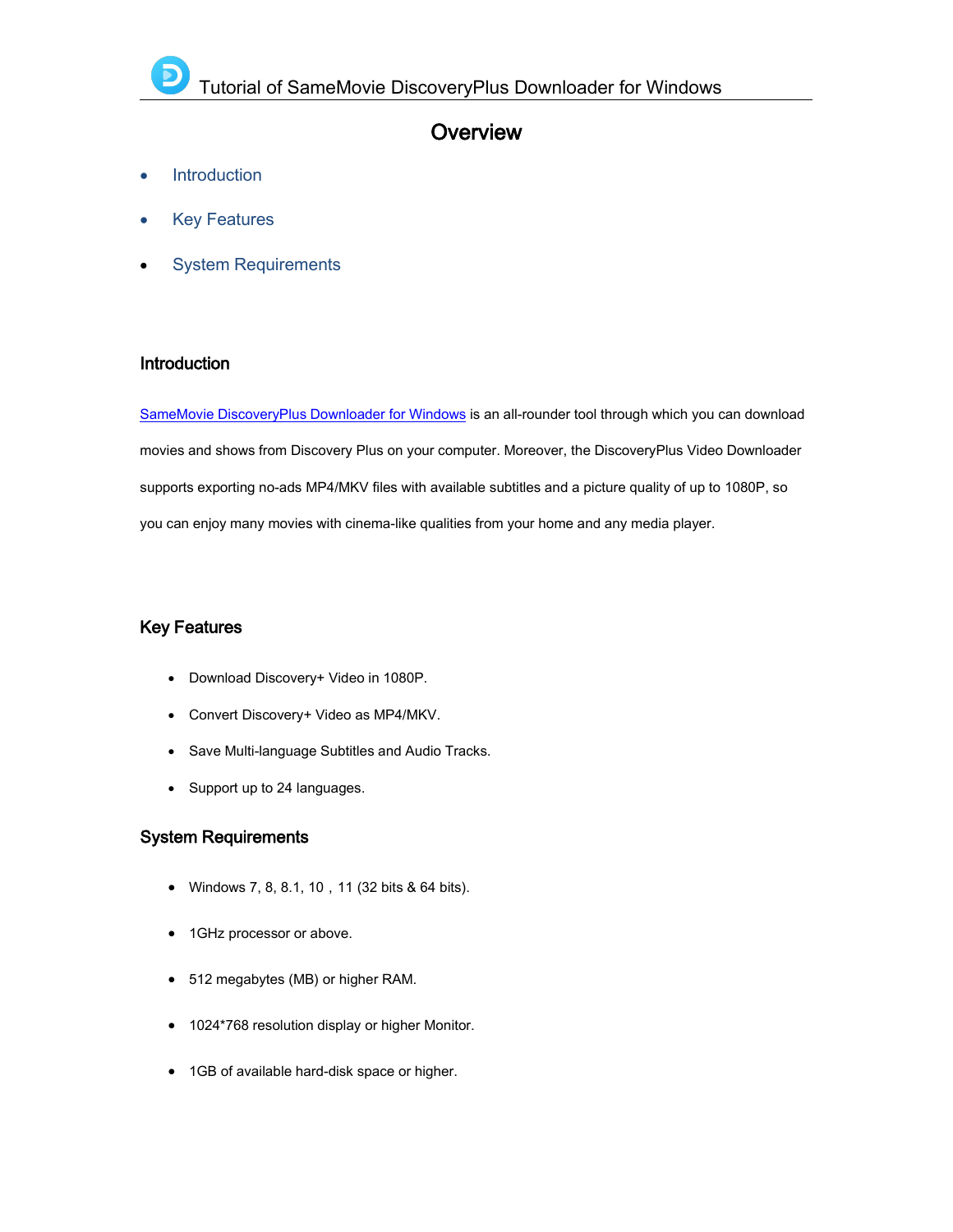### **Overview**

- [Introduction](#page-1-3)
- Key [Features](#page-1-4)
- <span id="page-1-3"></span>System [Requirements](#page-1-5)

### <span id="page-1-0"></span>Introduction

SameMovie [DiscoveryPlus](https://www.samemovie.com/discoveryplus-video-downloader.html) Downloader for Windows is an all-rounder tool through which you can download movies and shows from Discovery Plus on your computer. Moreover, the DiscoveryPlus Video Downloader supports exporting no-ads MP4/MKV files with available subtitles and a picture quality of up to 1080P, so you can enjoy many movies with cinema-like qualities from your home and any media player.

### <span id="page-1-4"></span><span id="page-1-1"></span>Key Features

- Download Discovery+ Video in 1080P.
- Convert Discovery+ Video as MP4/MKV.
- <span id="page-1-5"></span><span id="page-1-2"></span>Save Multi-language Subtitles and Audio Tracks.
- Support up to 24 languages.

### System Requirements

- Windows 7, 8, 8.1, 10, 11 (32 bits & 64 bits).
- 1GHz processor or above.
- 512 megabytes (MB) or higher RAM.
- 1024\*768 resolution display or higher Monitor.
- 1GB of available hard-disk space or higher.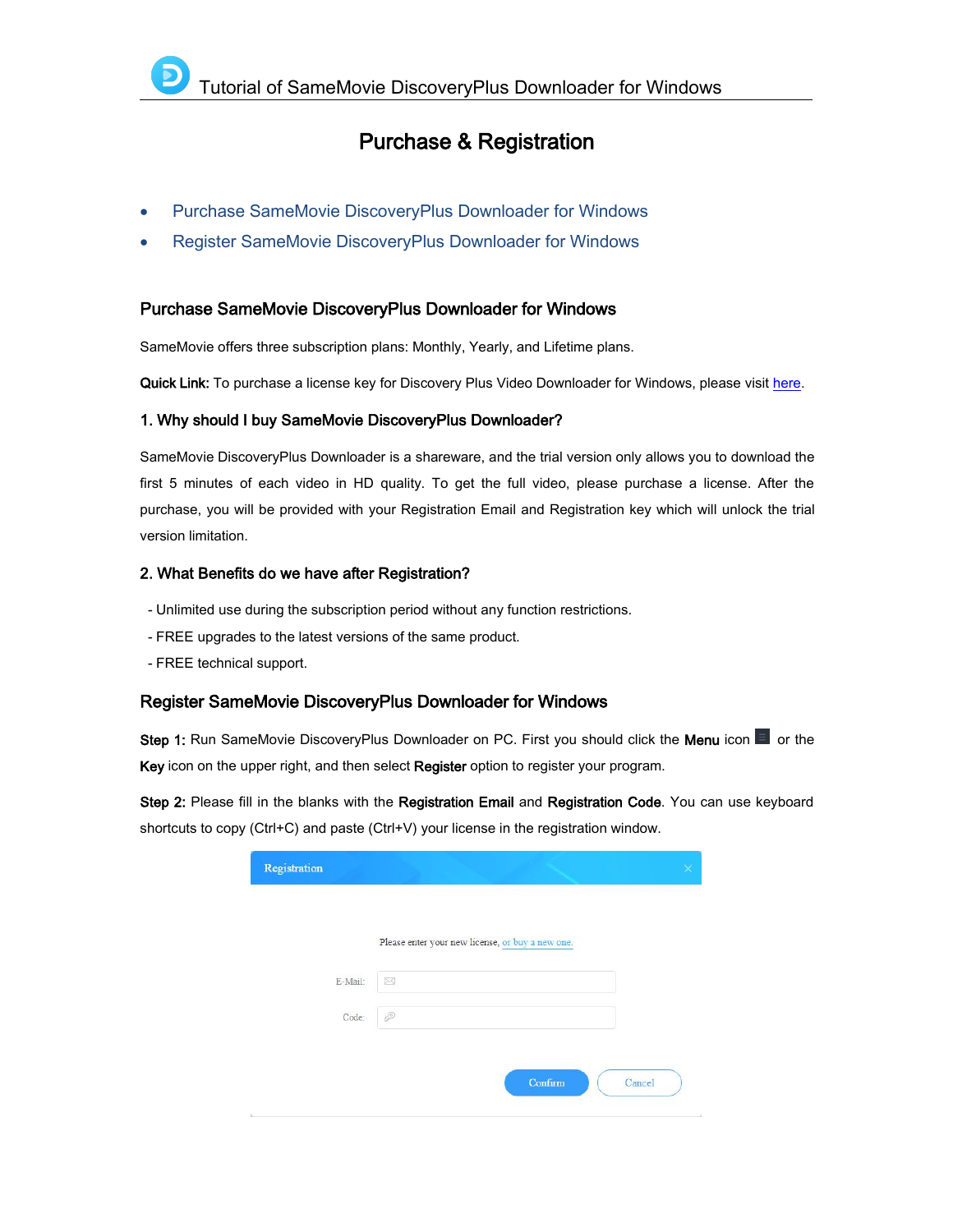### Purchase & Registration

- Purchase SameMovie [DiscoveryPlus](#page-2-2) Downloader for Windows
- Register SameMovie [DiscoveryPlus](#page-2-3) Downloader for Windows

#### <span id="page-2-2"></span><span id="page-2-0"></span>Purchase SameMovie DiscoveryPlus Downloader for Windows

SameMovie offers three subscription plans: Monthly, Yearly, and Lifetime plans.

Quick Link: To purchase a license key for Discovery Plus Video Downloader for Windows, please visit [here.](https://www.samemovie.com/discoveryplus-video-downloader/buynow.html)

#### 1. Why should I buy SameMovie DiscoveryPlus Downloader?

SameMovie DiscoveryPlus Downloader is a shareware, and the trial version only allows you to download the first 5 minutes of each video in HD quality. To get the full video, please purchase a license. After the purchase, you will be provided with your Registration Email and Registration key which will unlock the trial version limitation.

#### 2. What Benefits do we have after Registration?

- Unlimited use during the subscription period without any function restrictions.
- FREE upgrades to the latest versions of the same product.
- FREE technical support.

#### <span id="page-2-3"></span><span id="page-2-1"></span>Register SameMovie DiscoveryPlus Downloader for Windows

Step 1: Run SameMovie DiscoveryPlus Downloader on PC. First you should click the Menu icon **Doma** or the Key icon on the upper right, and then select Register option to register your program.

Step 2: Please fill in the blanks with the Registration Email and Registration Code. You can use keyboard shortcuts to copy (Ctrl+C) and paste (Ctrl+V) your license in the registration window.

| Registration |                                                  |        |
|--------------|--------------------------------------------------|--------|
|              | Please enter your new license, or buy a new one. |        |
| E-Mail:      | $\boxtimes$                                      |        |
| Code:        | P                                                |        |
|              | Confirm                                          |        |
|              |                                                  | Cancel |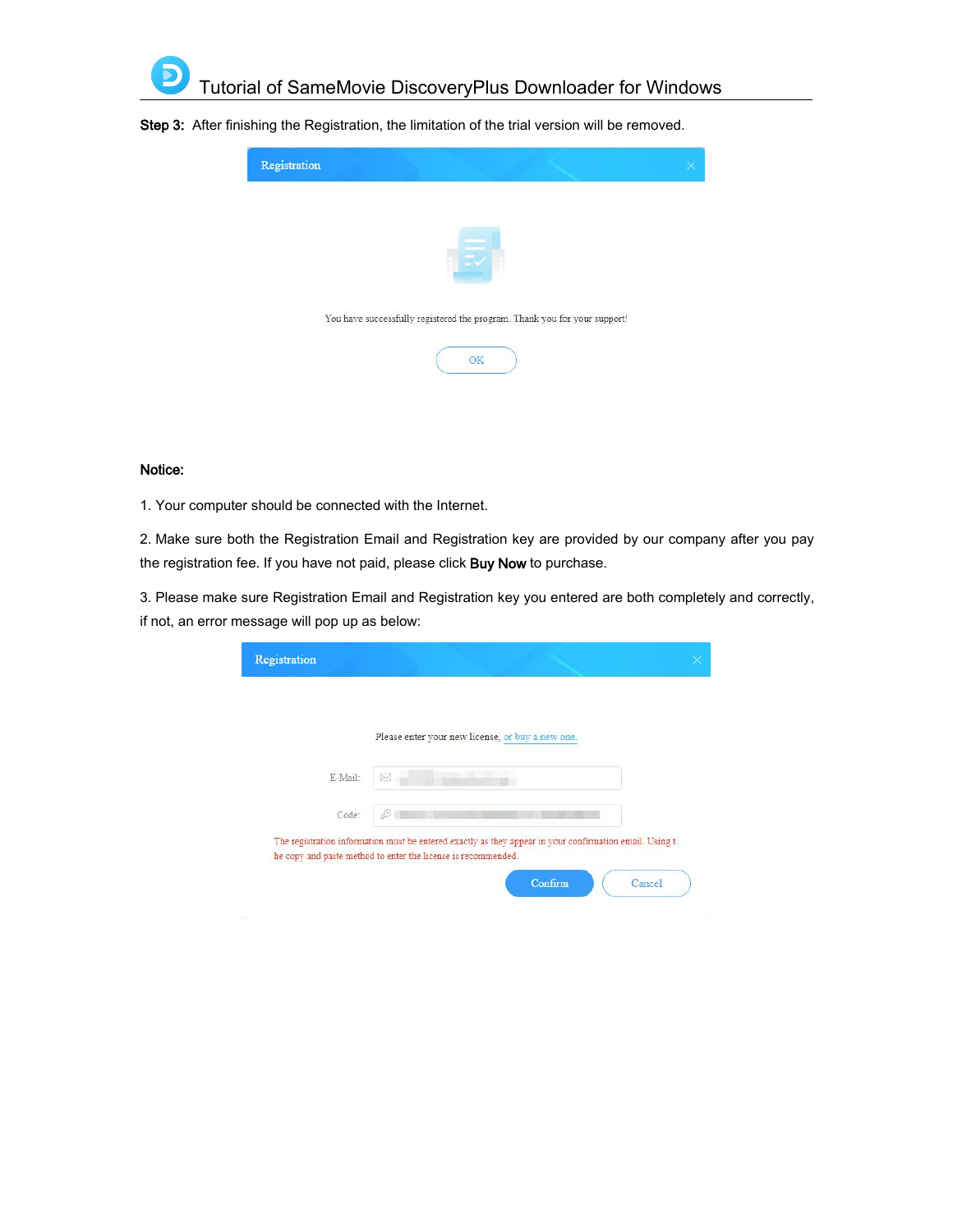

Step 3: After finishing the Registration, the limitation of the trial version will be removed.



#### Notice:

1. Your computer should be connected with the Internet.

2. Make sure both the Registration Email and Registration key are provided by our company after you pay the registration fee. If you have not paid, please click Buy Now to purchase.

3. Please make sure Registration Email and Registration key you entered are both completely and correctly, if not, an error message will pop up as below:

|         | Please enter your new license, or buy a new one. |
|---------|--------------------------------------------------|
| E-Mail: | ×                                                |
| Code:   |                                                  |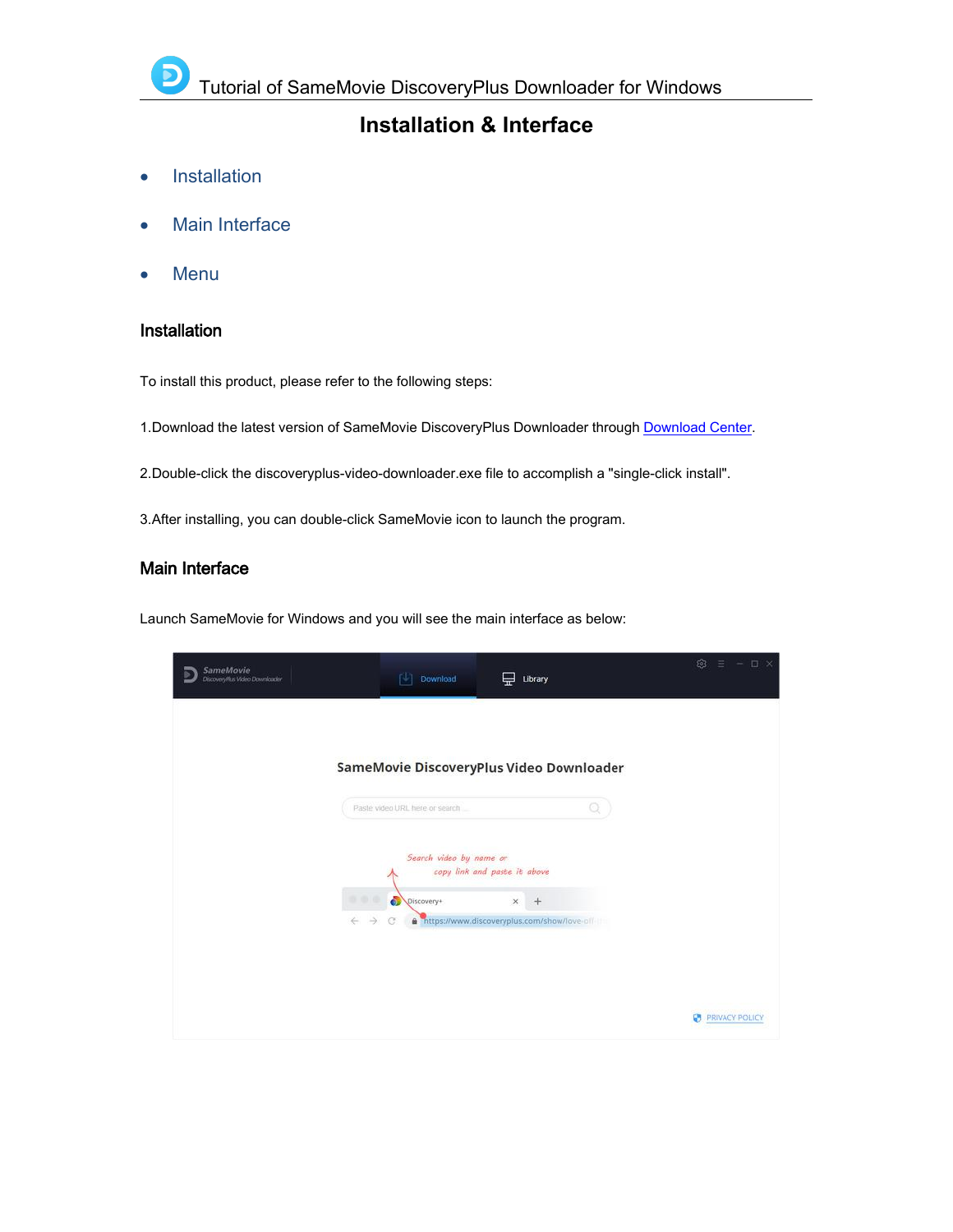### **Installation & Interface**

- [Installation](#page-4-2)
- Main [Interface](#page-4-3)
- [Menu](#page-5-1)

### <span id="page-4-2"></span><span id="page-4-0"></span>Installation

To install this product, please refer to the following steps:

1.Download the latest version of SameMovie DiscoveryPlus Downloader through [Download](https://www.samemovie.com/download.html) Center.

2.Double-click the discoveryplus-video-downloader.exe file to accomplish a "single-click install".

3.After installing, you can double-click SameMovie icon to launch the program.

### <span id="page-4-3"></span><span id="page-4-1"></span>Main Interface

Launch SameMovie for Windows and you will see the main interface as below:

| SameMovie<br>Discovery Plus Video Downloader | 叫<br>Download                                                              | Library<br>₩                                                                                   | ි                     | $\Box$<br>$\propto$<br>$\frac{1}{2} \left( \frac{1}{2} \right) \left( \frac{1}{2} \right) \left( \frac{1}{2} \right) \left( \frac{1}{2} \right) \left( \frac{1}{2} \right) \left( \frac{1}{2} \right) \left( \frac{1}{2} \right) \left( \frac{1}{2} \right) \left( \frac{1}{2} \right) \left( \frac{1}{2} \right) \left( \frac{1}{2} \right) \left( \frac{1}{2} \right) \left( \frac{1}{2} \right) \left( \frac{1}{2} \right) \left( \frac{1}{2} \right) \left( \frac{1}{2} \right) \left( \frac$ |
|----------------------------------------------|----------------------------------------------------------------------------|------------------------------------------------------------------------------------------------|-----------------------|---------------------------------------------------------------------------------------------------------------------------------------------------------------------------------------------------------------------------------------------------------------------------------------------------------------------------------------------------------------------------------------------------------------------------------------------------------------------------------------------------|
|                                              |                                                                            |                                                                                                |                       |                                                                                                                                                                                                                                                                                                                                                                                                                                                                                                   |
|                                              | SameMovie DiscoveryPlus Video Downloader<br>Paste video URL here or search |                                                                                                | Q                     |                                                                                                                                                                                                                                                                                                                                                                                                                                                                                                   |
|                                              | Search video by name or                                                    |                                                                                                |                       |                                                                                                                                                                                                                                                                                                                                                                                                                                                                                                   |
|                                              | ெ<br><b>BDB</b><br>Discovery+<br>$\leftarrow$<br>$\rightarrow$<br>$\sigma$ | copy link and paste it above<br>$\times$<br>$+$<br>https://www.discoveryplus.com/show/love-off |                       |                                                                                                                                                                                                                                                                                                                                                                                                                                                                                                   |
|                                              |                                                                            |                                                                                                |                       |                                                                                                                                                                                                                                                                                                                                                                                                                                                                                                   |
|                                              |                                                                            |                                                                                                | <b>PRIVACY POLICY</b> |                                                                                                                                                                                                                                                                                                                                                                                                                                                                                                   |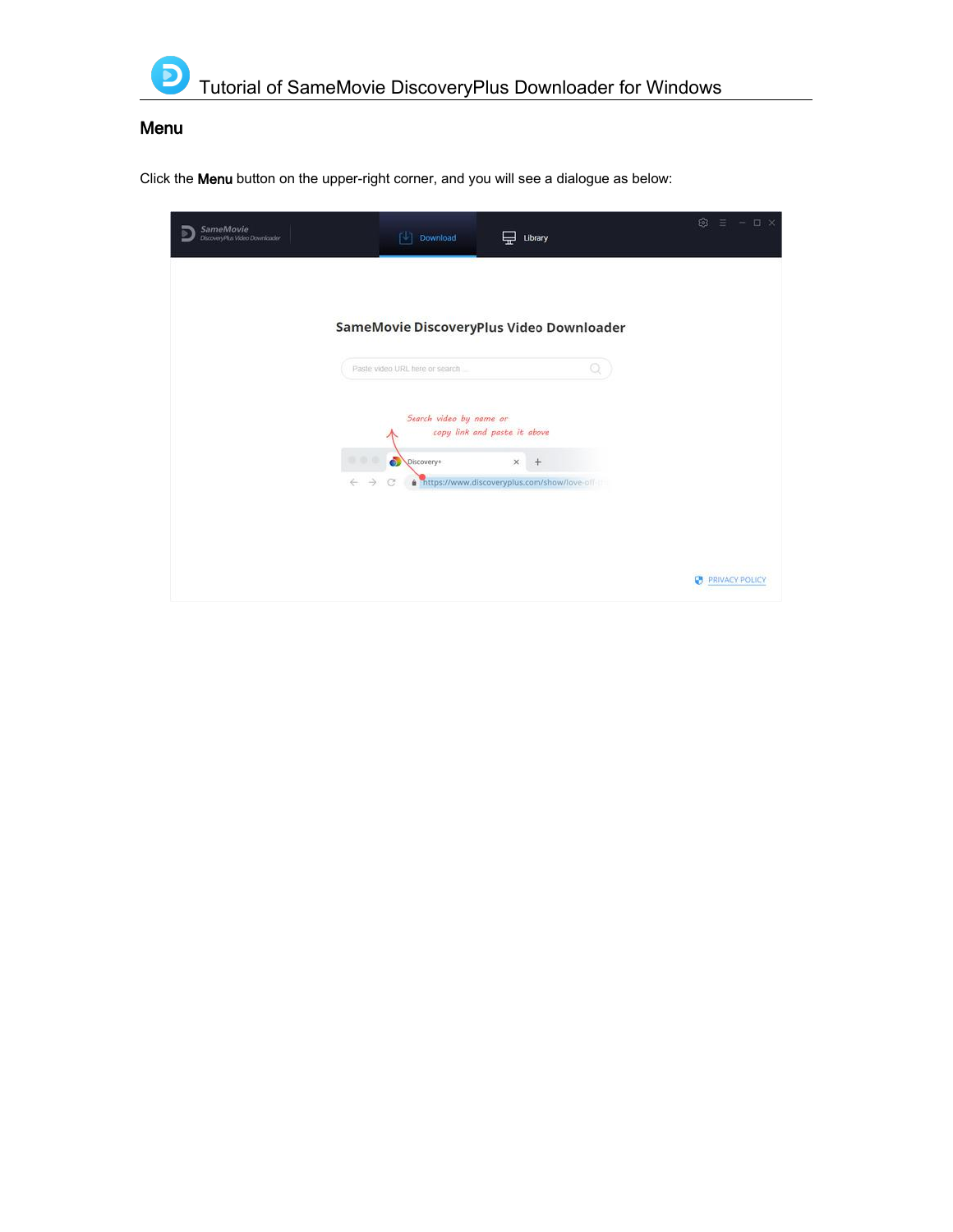<span id="page-5-1"></span><span id="page-5-0"></span>

### Menu

Click the Menu button on the upper-right corner, and you will see a dialogue as below:

| SameMovie<br>Discovery Plus Video Downloader | Download<br>ГJ.                | Library                                                        | tő.<br>$\Box$<br>$\propto$<br>- |
|----------------------------------------------|--------------------------------|----------------------------------------------------------------|---------------------------------|
|                                              |                                | SameMovie DiscoveryPlus Video Downloader                       |                                 |
|                                              | Paste video URL here or search |                                                                |                                 |
|                                              | Search video by name or        | copy link and paste it above                                   |                                 |
| DDD<br>$\rightarrow$<br>$\leftarrow$         | ō<br>Discovery+<br>G.          | $\times$<br>$+$<br>https://www.discoveryplus.com/show/love-off |                                 |
|                                              |                                |                                                                |                                 |
|                                              |                                |                                                                | <b>PRIVACY POLICY</b>           |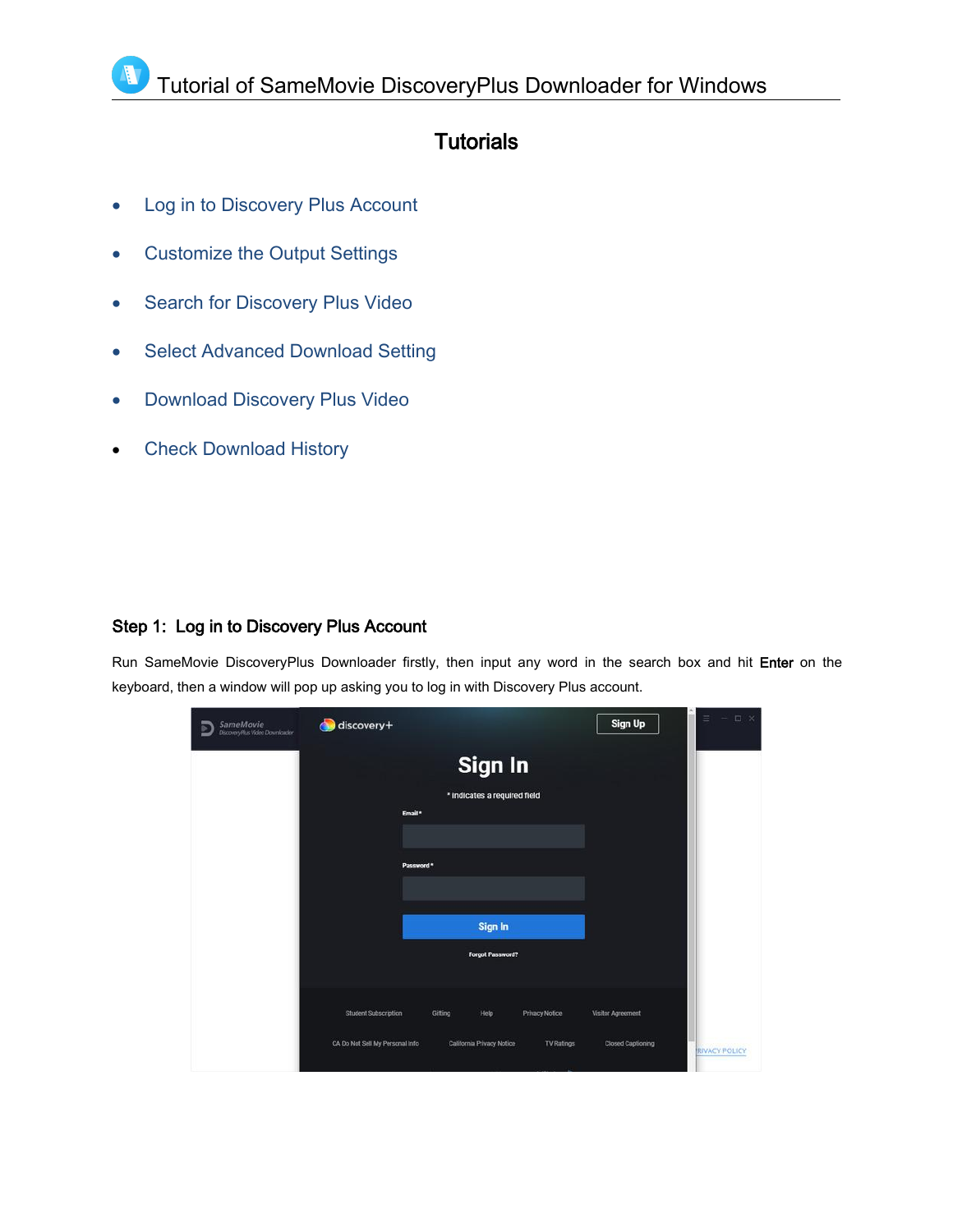### **Tutorials**

• Log in to [Discovery](#page-6-1) Plus Account

Λ

- [Customize](#page-7-2) the Output Settings
- Search for [Discovery](#page-7-3) Plus Video
- Select Advanced [Download](#page-8-2) Setting
- **•** [Download](#page-8-1) Discovery Plus Video
- Check [Download](#page-9-1) History

### <span id="page-6-1"></span><span id="page-6-0"></span>Step 1: Log in to Discovery Plus Account

Run SameMovie DiscoveryPlus Downloader firstly, then input any word in the search box and hit Enter on the keyboard, then a window will pop up asking you to log in with Discovery Plus account.

| SameMovie<br>DiscoveyPlus Video Downloader<br>ь | discovery+                      |                                         |                       | Sign Up                  | $\equiv$<br>日 ×<br>$\frac{1}{2}$ |
|-------------------------------------------------|---------------------------------|-----------------------------------------|-----------------------|--------------------------|----------------------------------|
|                                                 | Email*                          | Sign In<br>* indicates a required field |                       |                          |                                  |
|                                                 | Password *                      |                                         |                       |                          |                                  |
|                                                 |                                 | Sign In<br>Forgot Password?             |                       |                          |                                  |
|                                                 | <b>Student Subscription</b>     | Gifting<br>Help                         | <b>Privacy Notice</b> | Visitor Agreement        |                                  |
|                                                 | CA Do Not Sell My Personal Info | California Privacy Notice               | <b>TV Ratings</b>     | <b>Closed Captioning</b> | <b>RIVACY POLICY</b>             |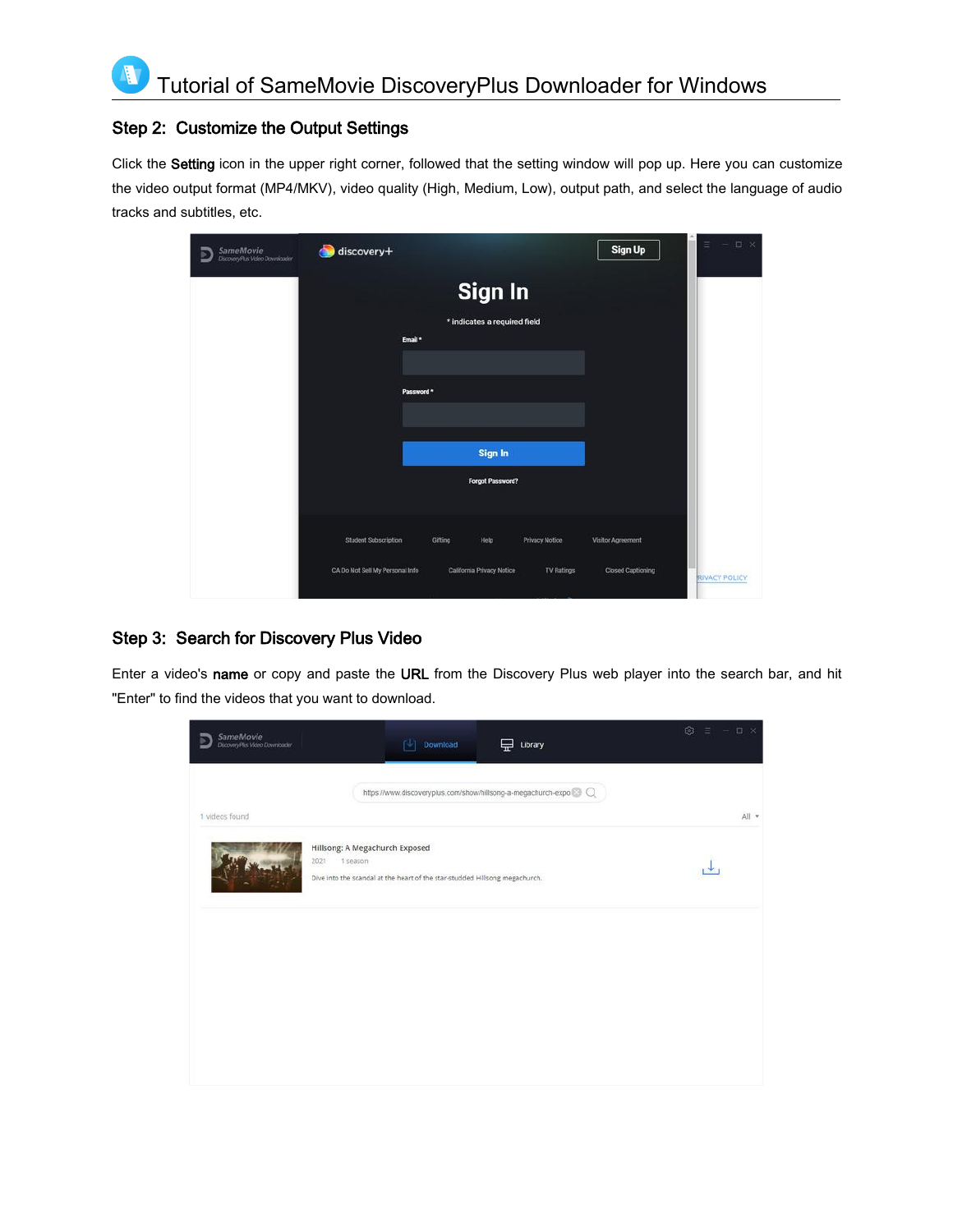### <span id="page-7-2"></span><span id="page-7-0"></span>Step 2: Customize the Output Settings

Click the Setting icon in the upper right corner, followed that the setting window will pop up. Here you can customize the video output format (MP4/MKV), video quality (High, Medium, Low), output path, and select the language of audio tracks and subtitles, etc.

| SameMovie<br>DiscoveryPlus Video Downloader<br>ь | discovery+                      |                                                | Sign Up                  | $\equiv$ $ \Box$ $\times$ |
|--------------------------------------------------|---------------------------------|------------------------------------------------|--------------------------|---------------------------|
|                                                  | Email *                         | Sign In<br>* indicates a required field        |                          |                           |
|                                                  | Password *                      |                                                |                          |                           |
|                                                  |                                 | Sign In<br>Forgot Password?                    |                          |                           |
|                                                  | <b>Student Subscription</b>     | Gifting<br>Help<br><b>Privacy Notice</b>       | Visitor Agreement        |                           |
|                                                  | CA Do Not Sell My Personal Info | California Privacy Notice<br><b>TV Ratings</b> | <b>Closed Captioning</b> | <b>RIVACY POLICY</b>      |

### <span id="page-7-3"></span><span id="page-7-1"></span>Step 3: Search for Discovery Plus Video

Enter a video's name or copy and paste the URL from the Discovery Plus web player into the search bar, and hit "Enter" to find the videos that you want to download.

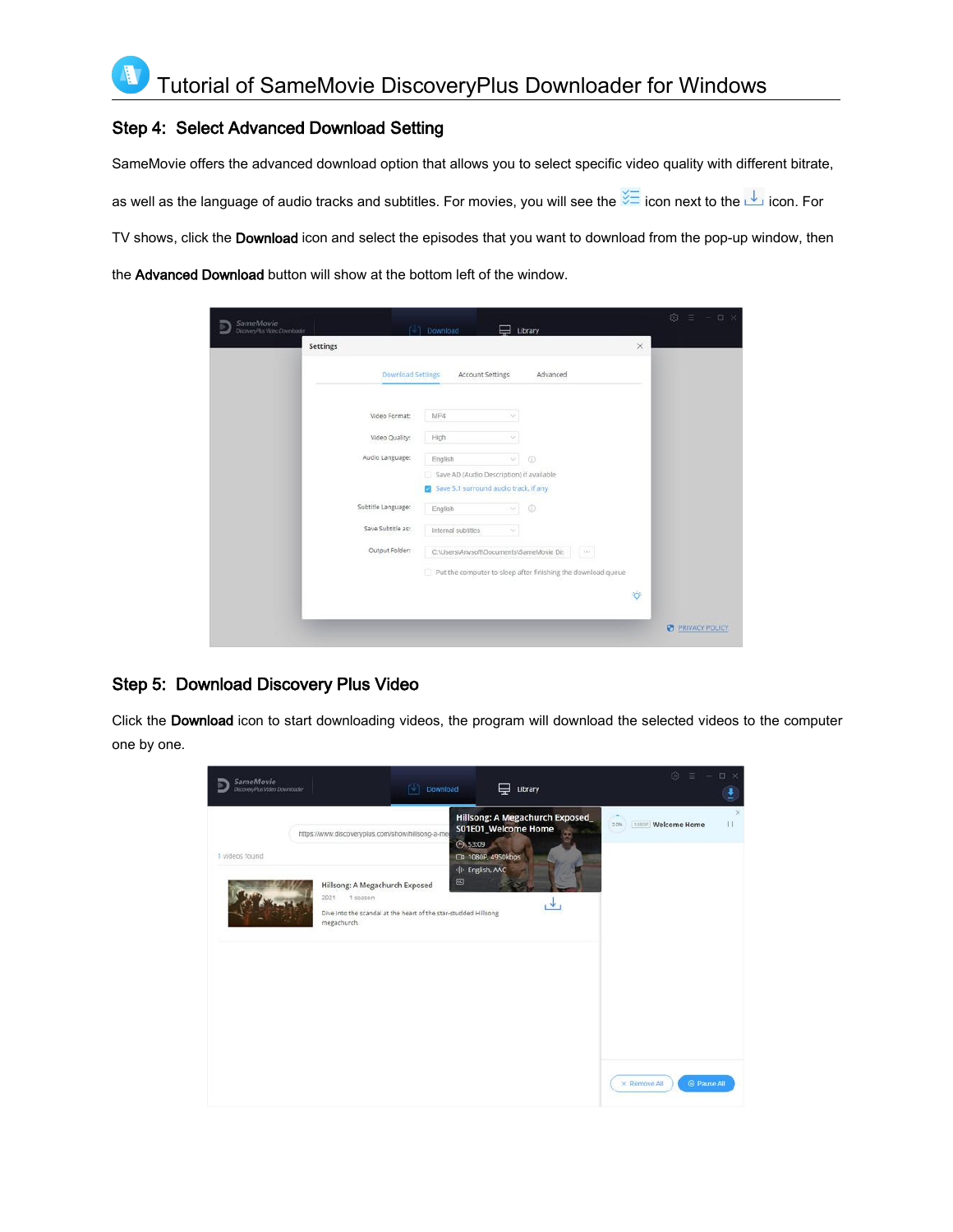### <span id="page-8-2"></span><span id="page-8-0"></span>Step 4: Select Advanced Download Setting

SameMovie offers the advanced download option that allows you to select specific video quality with different bitrate,

as well as the language of audio tracks and subtitles. For movies, you will see the  $\frac{1}{100}$  icon next to the  $\frac{1}{100}$  icon. For

TV shows, click the Download icon and select the episodes that you want to download from the pop-up window, then

the Advanced Download button will show at the bottom left of the window.

| SameMovie<br>Discovery Plus Video Downloader |                          | Download                                                                                                 |          | Library    |          |           | 53<br>$-$ 0 $\times$       |
|----------------------------------------------|--------------------------|----------------------------------------------------------------------------------------------------------|----------|------------|----------|-----------|----------------------------|
| Settings                                     |                          |                                                                                                          |          |            |          | $\times$  |                            |
|                                              | <b>Download Settings</b> | <b>Account Settings</b>                                                                                  |          | Advanced   |          |           |                            |
|                                              | Video Format:            | MP4                                                                                                      | ×        |            |          |           |                            |
|                                              | Video Quality:           | High                                                                                                     | ×        |            |          |           |                            |
|                                              | Audio Language:          | English<br>Save AD (Audio Description) if available<br>Save 5.1 surround audio track, if any             | ×.       | $^{\circ}$ |          |           |                            |
|                                              | Subtitle Language:       | English                                                                                                  | $\omega$ | $\odot$    |          |           |                            |
|                                              | Save Subtitle as:        | Internal subtitles                                                                                       |          |            |          |           |                            |
|                                              | Output Folder:           | C:\Users\Anvsoft\Documents\SameMovie Dit<br>Put the computer to sleep after finishing the download queue |          |            | $\alpha$ |           |                            |
|                                              |                          |                                                                                                          |          |            |          | $\bullet$ |                            |
|                                              |                          |                                                                                                          |          |            |          |           | <b>PRIVACY POLICY</b><br>B |

### <span id="page-8-1"></span>Step 5: Download Discovery Plus Video

Click the Download icon to start downloading videos, the program will download the selected videos to the computer one by one.

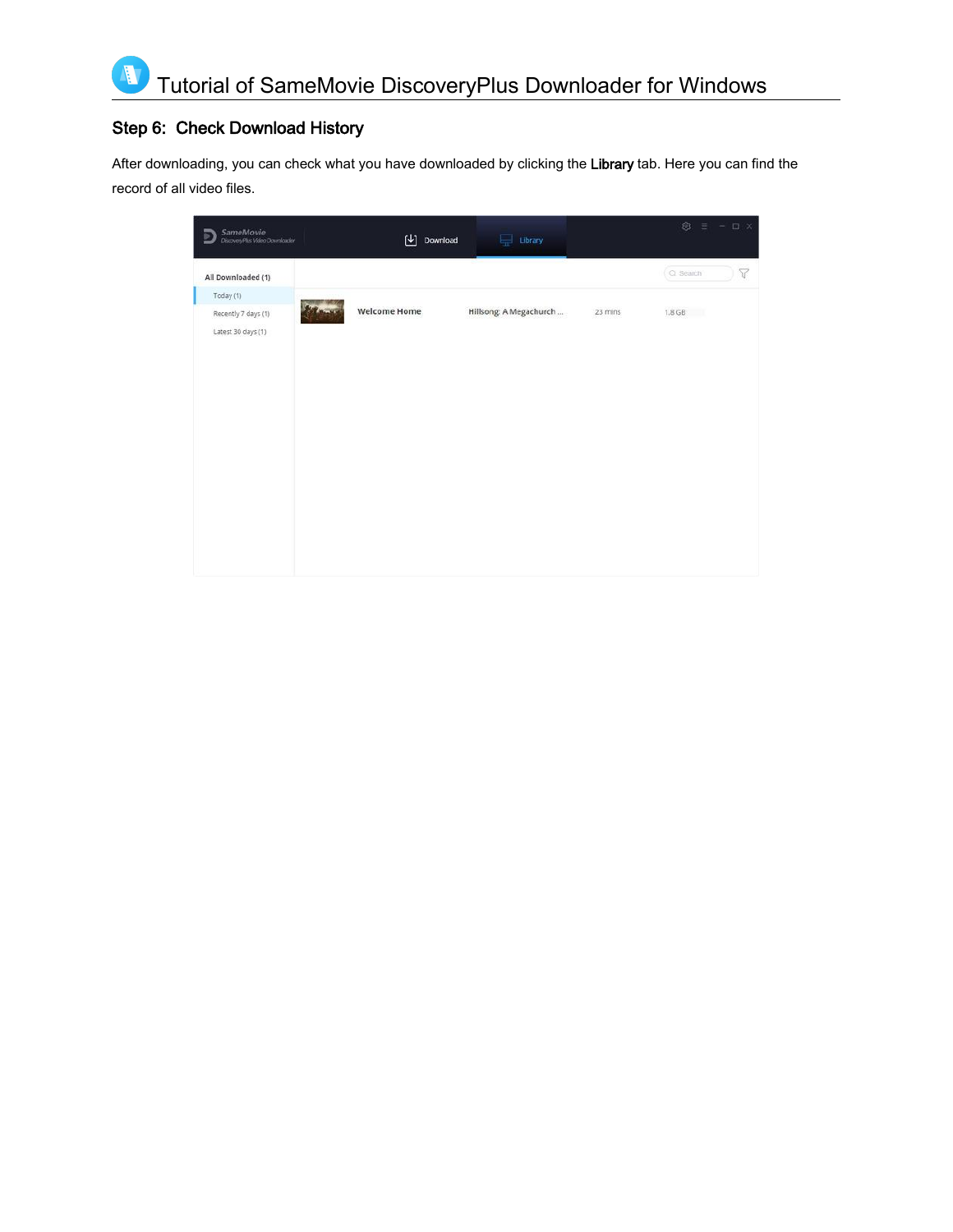### Step 6: Check Download History

<span id="page-9-1"></span><span id="page-9-0"></span>Ą

After downloading, you can check what you have downloaded by clicking the Library tab. Here you can find the record of all video files.

| SameMovie<br>DiscoveyPlus Video Downloader | 凹                   | Download | $\Box$ Library         |         | $\circledcirc$ $\equiv$ - $\Box$ $\times$ |                 |
|--------------------------------------------|---------------------|----------|------------------------|---------|-------------------------------------------|-----------------|
| All Downloaded (1)                         |                     |          |                        |         | C Search                                  | $\triangledown$ |
| Today (1)                                  |                     |          |                        |         |                                           |                 |
| Recently 7 days (1)<br>Latest 30 days (1)  | <b>Welcome Home</b> |          | Hillsong: A Megachurch | 23 mins | $1.8$ GB                                  |                 |
|                                            |                     |          |                        |         |                                           |                 |